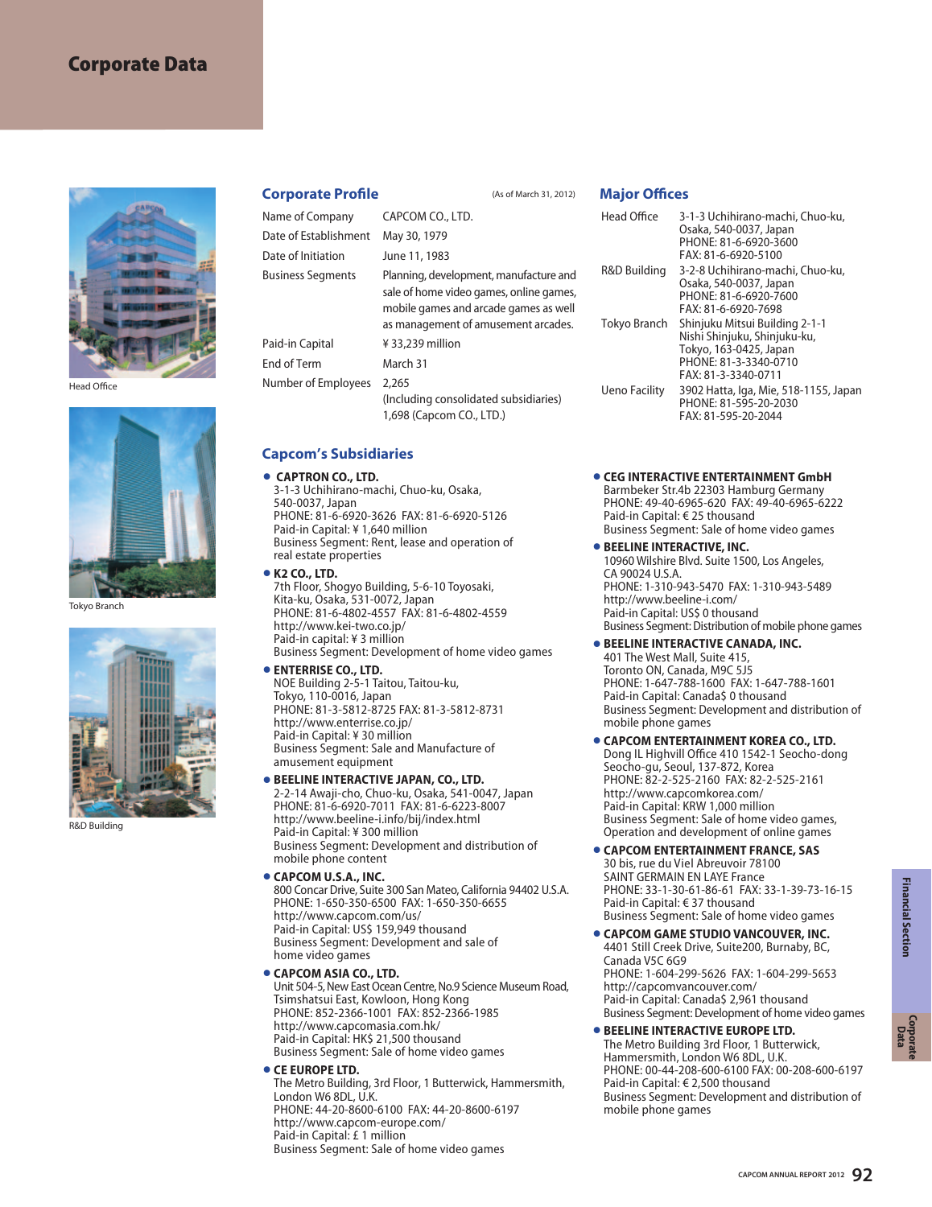# **Corporate Data**



Head Office



Tokyo Branch



R&D Building

### **Corporate Profile** (As of March 31, 2012)

| Name of Company          | CAPCOM CO., LTD.                                                                                                                                                  | Heac        |
|--------------------------|-------------------------------------------------------------------------------------------------------------------------------------------------------------------|-------------|
| Date of Establishment    | May 30, 1979                                                                                                                                                      |             |
| Date of Initiation       | June 11, 1983                                                                                                                                                     |             |
| <b>Business Segments</b> | Planning, development, manufacture and<br>sale of home video games, online games,<br>mobile games and arcade games as well<br>as management of amusement arcades. | R&D<br>Toky |
| Paid-in Capital          | $433,239$ million                                                                                                                                                 |             |
| End of Term              | March 31                                                                                                                                                          |             |
| Number of Employees      | 2.265<br>(Including consolidated subsidiaries)<br>1,698 (Capcom CO., LTD.)                                                                                        | Uenc        |
|                          |                                                                                                                                                                   |             |

#### **Capcom's Subsidiaries**

# **CAPTRON CO., LTD. •**

3-1-3 Uchihirano-machi, Chuo-ku, Osaka, 540-0037, Japan PHONE: 81-6-6920-3626 FAX: 81-6-6920-5126 Paid-in Capital: ¥ 1,640 million Business Segment: Rent, lease and operation of real estate properties **K2 CO., LTD. •**

- 7th Floor, Shogyo Building, 5-6-10 Toyosaki, Kita-ku, Osaka, 531-0072, Japan PHONE: 81-6-4802-4557 FAX: 81-6-4802-4559 http://www.kei-two.co.jp/ Paid-in capital: ¥ 3 million Business Segment: Development of home video games
- **ENTERRISE CO., LTD. •** NOE Building 2-5-1 Taitou, Taitou-ku, Tokyo, 110-0016, Japan PHONE: 81-3-5812-8725 FAX: 81-3-5812-8731 http://www.enterrise.co.jp/ Paid-in Capital: ¥ 30 million Business Segment: Sale and Manufacture of amusement equipment

# **BEELINE INTERACTIVE JAPAN, CO., LTD. •**

2-2-14 Awaji-cho, Chuo-ku, Osaka, 541-0047, Japan PHONE: 81-6-6920-7011 FAX: 81-6-6223-8007 http://www.beeline-i.info/bij/index.html Paid-in Capital: ¥ 300 million Business Segment: Development and distribution of mobile phone content

# ■ **CAPCOM U.S.A., INC.**

800 Concar Drive, Suite 300 San Mateo, California 94402 U.S.A. PHONE: 1-650-350-6500 FAX: 1-650-350-6655 http://www.capcom.com/us/ Paid-in Capital: US\$ 159,949 thousand Business Segment: Development and sale of home video games **•** CAPCOM ASIA CO., LTD.

#### Unit 504-5, New East Ocean Centre, No.9 Science Museum Road, Tsimshatsui East, Kowloon, Hong Kong PHONE: 852-2366-1001 FAX: 852-2366-1985 http://www.capcomasia.com.hk/ Paid-in Capital: HK\$ 21,500 thousand Business Segment: Sale of home video games

# **CE EUROPE LTD. •**

The Metro Building, 3rd Floor, 1 Butterwick, Hammersmith, London W6 8DL, U.K. PHONE: 44-20-8600-6100 FAX: 44-20-8600-6197 http://www.capcom-europe.com/ Paid-in Capital: £ 1 million Business Segment: Sale of home video games

**Major Offices**

#### d Office **Building** o Branch o Facility 3-1-3 Uchihirano-machi, Chuo-ku, Osaka, 540-0037, Japan PHONE: 81-6-6920-3600 FAX: 81-6-6920-5100 3-2-8 Uchihirano-machi, Chuo-ku, Osaka, 540-0037, Japan PHONE: 81-6-6920-7600 FAX: 81-6-6920-7698 Shinjuku Mitsui Building 2-1-1 Nishi Shinjuku, Shinjuku-ku, Tokyo, 163-0425, Japan PHONE: 81-3-3340-0710 FAX: 81-3-3340-0711 3902 Hatta, Iga, Mie, 518-1155, Japan PHONE: 81-595-20-2030 FAX: 81-595-20-2044

# **CEG INTERACTIVE ENTERTAINMENT GmbH •**

Barmbeker Str.4b 22303 Hamburg Germany PHONE: 49-40-6965-620 FAX: 49-40-6965-6222 Paid-in Capital: € 25 thousand Business Segment: Sale of home video games

#### **BEELINE INTERACTIVE, INC.** 10960 Wilshire Blvd. Suite 1500, Los Angeles, CA 90024 U.S.A. PHONE: 1-310-943-5470 FAX: 1-310-943-5489 http://www.beeline-i.com/ Paid-in Capital: US\$ 0 thousand Business Segment: Distribution of mobile phone games

#### **•** BEELINE INTERACTIVE CANADA, INC. 401 The West Mall, Suite 415, Toronto ON, Canada, M9C 5J5 PHONE: 1-647-788-1600 FAX: 1-647-788-1601 Paid-in Capital: Canada\$ 0 thousand Business Segment: Development and distribution of mobile phone games

# **CAPCOM ENTERTAINMENT KOREA CO., LTD.**

Dong IL Highvill Office 410 1542-1 Seocho-dong Seocho-gu, Seoul, 137-872, Korea PHONE: 82-2-525-2160 FAX: 82-2-525-2161 http://www.capcomkorea.com/ Paid-in Capital: KRW 1,000 million Business Segment: Sale of home video games, Operation and development of online games

## **CAPCOM ENTERTAINMENT FRANCE, SAS** 30 bis, rue du Viel Abreuvoir 78100

SAINT GERMAIN EN LAYE France PHONE: 33-1-30-61-86-61 FAX: 33-1-39-73-16-15 Paid-in Capital: € 37 thousand Business Segment: Sale of home video games

#### **CAPCOM GAME STUDIO VANCOUVER, INC.** 4401 Still Creek Drive, Suite200, Burnaby, BC, Canada V5C 6G9 PHONE: 1-604-299-5626 FAX: 1-604-299-5653 http://capcomvancouver.com/ Paid-in Capital: Canada\$ 2,961 thousand Business Segment: Development of home video games

# **•BEELINE INTERACTIVE EUROPE LTD.**

The Metro Building 3rd Floor, 1 Butterwick, Hammersmith, London W6 8DL, U.K. PHONE: 00-44-208-600-6100 FAX: 00-208-600-6197 Paid-in Capital: € 2,500 thousand Business Segment: Development and distribution of mobile phone games

**Corporate Data**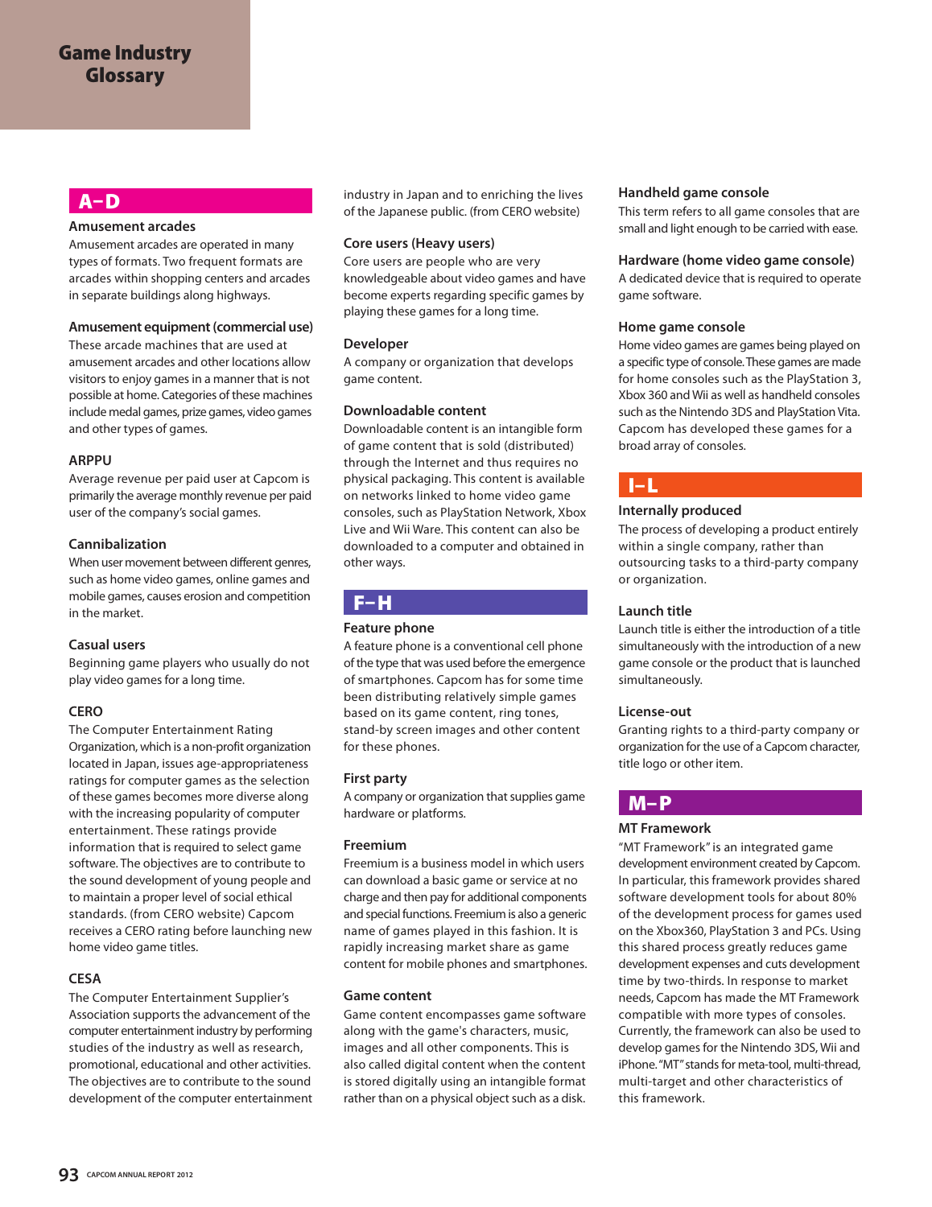## **A–D**

#### **Amusement arcades**

Amusement arcades are operated in many types of formats. Two frequent formats are arcades within shopping centers and arcades in separate buildings along highways.

### **Amusement equipment (commercial use)**

These arcade machines that are used at amusement arcades and other locations allow visitors to enjoy games in a manner that is not possible at home. Categories of these machines include medal games, prize games, video games and other types of games.

#### **ARPPU**

Average revenue per paid user at Capcom is primarily the average monthly revenue per paid user of the company's social games.

#### **Cannibalization**

When user movement between different genres, such as home video games, online games and mobile games, causes erosion and competition in the market.

#### **Casual users**

Beginning game players who usually do not play video games for a long time.

### **CERO**

The Computer Entertainment Rating Organization, which is a non-profit organization located in Japan, issues age-appropriateness ratings for computer games as the selection of these games becomes more diverse along with the increasing popularity of computer entertainment. These ratings provide information that is required to select game software. The objectives are to contribute to the sound development of young people and to maintain a proper level of social ethical standards. (from CERO website) Capcom receives a CERO rating before launching new home video game titles.

## **CESA**

The Computer Entertainment Supplier's Association supports the advancement of the computer entertainment industry by performing studies of the industry as well as research, promotional, educational and other activities. The objectives are to contribute to the sound development of the computer entertainment

industry in Japan and to enriching the lives of the Japanese public. (from CERO website)

#### **Core users (Heavy users)**

Core users are people who are very knowledgeable about video games and have become experts regarding specific games by playing these games for a long time.

#### **Developer**

A company or organization that develops game content.

#### **Downloadable content**

Downloadable content is an intangible form of game content that is sold (distributed) through the Internet and thus requires no physical packaging. This content is available on networks linked to home video game consoles, such as PlayStation Network, Xbox Live and Wii Ware. This content can also be downloaded to a computer and obtained in other ways.

## **F–H**

### **Feature phone**

A feature phone is a conventional cell phone of the type that was used before the emergence of smartphones. Capcom has for some time been distributing relatively simple games based on its game content, ring tones, stand-by screen images and other content for these phones.

#### **First party**

A company or organization that supplies game hardware or platforms.

#### **Freemium**

Freemium is a business model in which users can download a basic game or service at no charge and then pay for additional components and special functions. Freemium is also a generic name of games played in this fashion. It is rapidly increasing market share as game content for mobile phones and smartphones.

#### **Game content**

Game content encompasses game software along with the game's characters, music, images and all other components. This is also called digital content when the content is stored digitally using an intangible format rather than on a physical object such as a disk.

#### **Handheld game console**

This term refers to all game consoles that are small and light enough to be carried with ease.

#### **Hardware (home video game console)**

A dedicated device that is required to operate game software.

#### **Home game console**

Home video games are games being played on a specific type of console. These games are made for home consoles such as the PlayStation 3, Xbox 360 and Wii as well as handheld consoles such as the Nintendo 3DS and PlayStation Vita. Capcom has developed these games for a broad array of consoles.

# **I–L**

### **Internally produced**

The process of developing a product entirely within a single company, rather than outsourcing tasks to a third-party company or organization.

### **Launch title**

Launch title is either the introduction of a title simultaneously with the introduction of a new game console or the product that is launched simultaneously.

#### **License-out**

Granting rights to a third-party company or organization for the use of a Capcom character, title logo or other item.

## **M–P**

### **MT Framework**

"MT Framework" is an integrated game development environment created by Capcom. In particular, this framework provides shared software development tools for about 80% of the development process for games used on the Xbox360, PlayStation 3 and PCs. Using this shared process greatly reduces game development expenses and cuts development time by two-thirds. In response to market needs, Capcom has made the MT Framework compatible with more types of consoles. Currently, the framework can also be used to develop games for the Nintendo 3DS, Wii and iPhone. "MT" stands for meta-tool, multi-thread, multi-target and other characteristics of this framework.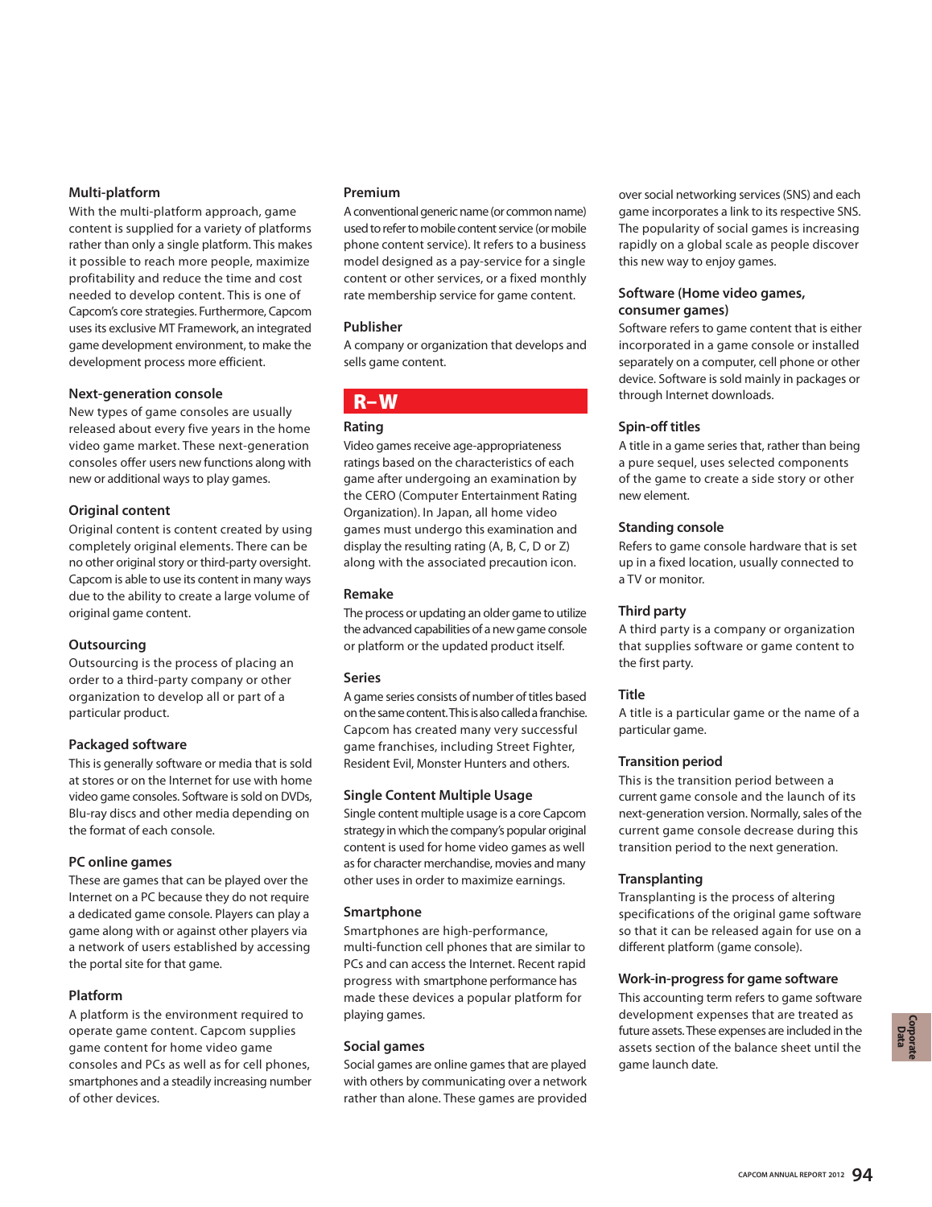#### **Multi-platform**

With the multi-platform approach, game content is supplied for a variety of platforms rather than only a single platform. This makes it possible to reach more people, maximize profitability and reduce the time and cost needed to develop content. This is one of Capcom's core strategies. Furthermore, Capcom uses its exclusive MT Framework, an integrated game development environment, to make the development process more efficient.

#### **Next-generation console**

New types of game consoles are usually released about every five years in the home video game market. These next-generation consoles offer users new functions along with new or additional ways to play games.

### **Original content**

Original content is content created by using completely original elements. There can be no other original story or third-party oversight. Capcom is able to use its content in many ways due to the ability to create a large volume of original game content.

### **Outsourcing**

Outsourcing is the process of placing an order to a third-party company or other organization to develop all or part of a particular product.

### **Packaged software**

This is generally software or media that is sold at stores or on the Internet for use with home video game consoles. Software is sold on DVDs, Blu-ray discs and other media depending on the format of each console.

### **PC online games**

These are games that can be played over the Internet on a PC because they do not require a dedicated game console. Players can play a game along with or against other players via a network of users established by accessing the portal site for that game.

### **Platform**

A platform is the environment required to operate game content. Capcom supplies game content for home video game consoles and PCs as well as for cell phones, smartphones and a steadily increasing number of other devices.

#### **Premium**

A conventional generic name (or common name) used to refer to mobile content service (or mobile phone content service). It refers to a business model designed as a pay-service for a single content or other services, or a fixed monthly rate membership service for game content.

#### **Publisher**

A company or organization that develops and sells game content.

## **R–W**

#### **Rating**

Video games receive age-appropriateness ratings based on the characteristics of each game after undergoing an examination by the CERO (Computer Entertainment Rating Organization). In Japan, all home video games must undergo this examination and display the resulting rating (A, B, C, D or Z) along with the associated precaution icon.

#### **Remake**

The process or updating an older game to utilize the advanced capabilities of a new game console or platform or the updated product itself.

#### **Series**

A game series consists of number of titles based on the same content. This is also called a franchise. Capcom has created many very successful game franchises, including Street Fighter, Resident Evil, Monster Hunters and others.

#### **Single Content Multiple Usage**

Single content multiple usage is a core Capcom strategy in which the company's popular original content is used for home video games as well as for character merchandise, movies and many other uses in order to maximize earnings.

#### **Smartphone**

Smartphones are high-performance, multi-function cell phones that are similar to PCs and can access the Internet. Recent rapid progress with smartphone performance has made these devices a popular platform for playing games.

#### **Social games**

Social games are online games that are played with others by communicating over a network rather than alone. These games are provided over social networking services (SNS) and each game incorporates a link to its respective SNS. The popularity of social games is increasing rapidly on a global scale as people discover this new way to enjoy games.

#### **Software (Home video games, consumer games)**

Software refers to game content that is either incorporated in a game console or installed separately on a computer, cell phone or other device. Software is sold mainly in packages or through Internet downloads.

#### **Spin-off titles**

A title in a game series that, rather than being a pure sequel, uses selected components of the game to create a side story or other new element.

#### **Standing console**

Refers to game console hardware that is set up in a fixed location, usually connected to a TV or monitor.

### **Third party**

A third party is a company or organization that supplies software or game content to the first party.

### **Title**

A title is a particular game or the name of a particular game.

#### **Transition period**

This is the transition period between a current game console and the launch of its next-generation version. Normally, sales of the current game console decrease during this transition period to the next generation.

### **Transplanting**

Transplanting is the process of altering specifications of the original game software so that it can be released again for use on a different platform (game console).

### **Work-in-progress for game software**

This accounting term refers to game software development expenses that are treated as future assets. These expenses are included in the assets section of the balance sheet until the game launch date.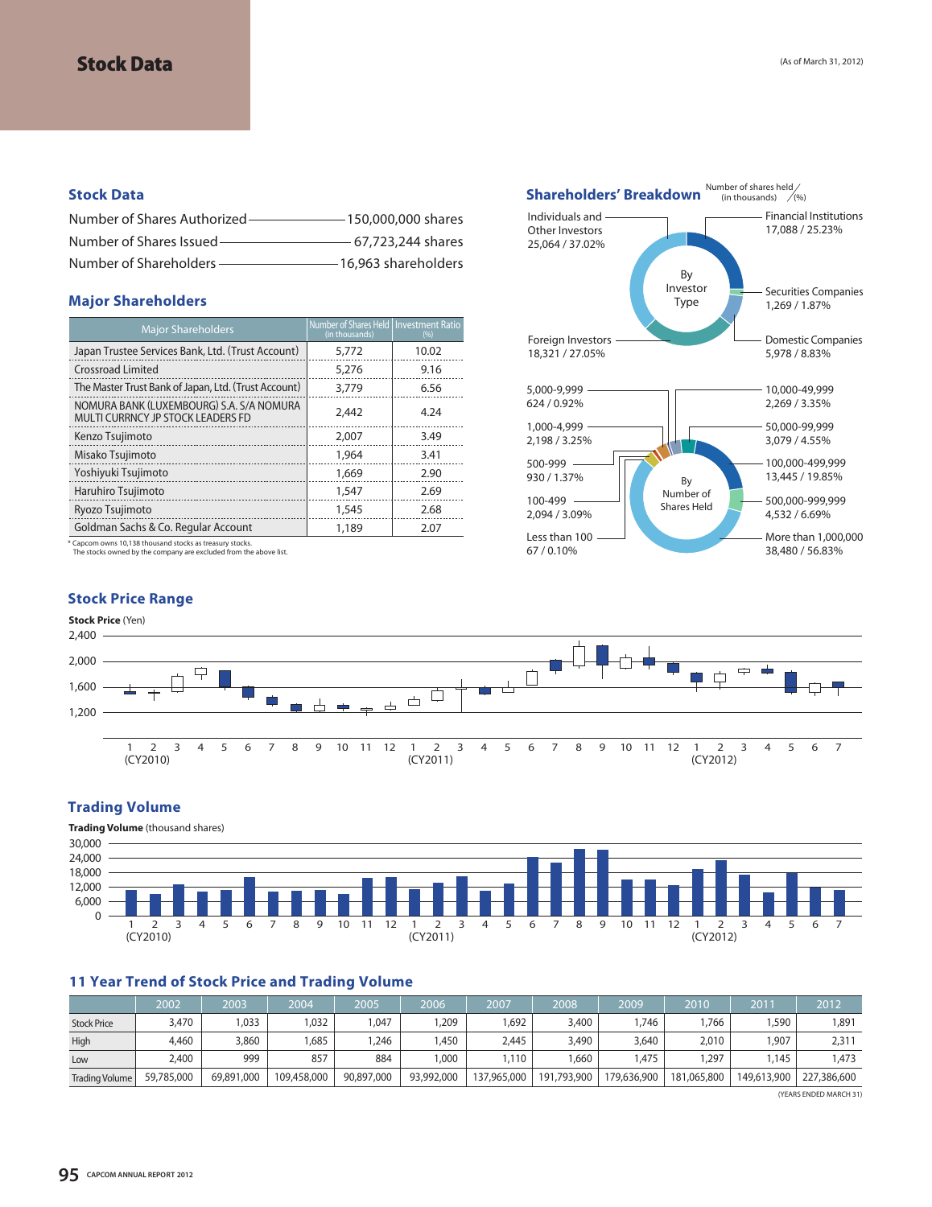### **Stock Data**

| Number of Shares Authorized- | $-150.000.000$ shares |
|------------------------------|-----------------------|
| Number of Shares Issued -    | - 67.723.244 shares   |
| Number of Shareholders -     | -16.963 shareholders  |

#### **Major Shareholders**

| <b>Major Shareholders</b>                                                     | Number of Shares Held   Investment Ratio<br>(in thousands) | (%)   |
|-------------------------------------------------------------------------------|------------------------------------------------------------|-------|
| Japan Trustee Services Bank, Ltd. (Trust Account)                             | 5,772                                                      | 10.02 |
| <b>Crossroad Limited</b>                                                      | 5,276                                                      | 9.16  |
| The Master Trust Bank of Japan, Ltd. (Trust Account)                          | 3,779                                                      | 6.56  |
| NOMURA BANK (LUXEMBOURG) S.A. S/A NOMURA<br>MULTI CURRNCY JP STOCK LEADERS FD | 2.442                                                      | 4.24  |
| Kenzo Tsujimoto                                                               | 2,007                                                      | 3.49  |
| Misako Tsujimoto                                                              | 1,964                                                      | 3.41  |
| Yoshiyuki Tsujimoto                                                           | 1,669                                                      | 2.90  |
| Haruhiro Tsujimoto                                                            | 1,547                                                      | 2.69  |
| Ryozo Tsujimoto                                                               | 1,545                                                      | 2.68  |
| Goldman Sachs & Co. Regular Account                                           | 1,189                                                      | 2.07  |

\* Capcom owns 10,138 thousand stocks as treasury stocks. The stocks owned by the company are excluded from the above list.

### **Stock Price Range**





### **Trading Volume**



## **11 Year Trend of Stock Price and Trading Volume**

|                       | 2002       | 2003       | 2004'       | 2005       | 2006       | 2007        | 2008        | 2009        | 2010        | 2011        | 2012        |
|-----------------------|------------|------------|-------------|------------|------------|-------------|-------------|-------------|-------------|-------------|-------------|
| <b>Stock Price</b>    | 3,470      | 1,033      | ,032        | .047       | ,209       | .692        | 3,400       | .746        | .766        | .590        | 1,891       |
| High                  | 4,460      | 3,860      | ,685        | ,246       | .450       | 2,445       | 3,490       | 3,640       | 2,010       | 1,907       | 2,311       |
| Low                   | 2,400      | 999        | 857         | 884        | 000.       | .110        | .660        | .475        | ,297        | .145        | ,473        |
| <b>Trading Volume</b> | 59,785,000 | 69,891,000 | 109,458,000 | 90,897,000 | 93,992,000 | 137,965,000 | 191,793,900 | 179,636,900 | 181,065,800 | 149,613,900 | 227,386,600 |

(YEARS ENDED MARCH 31)